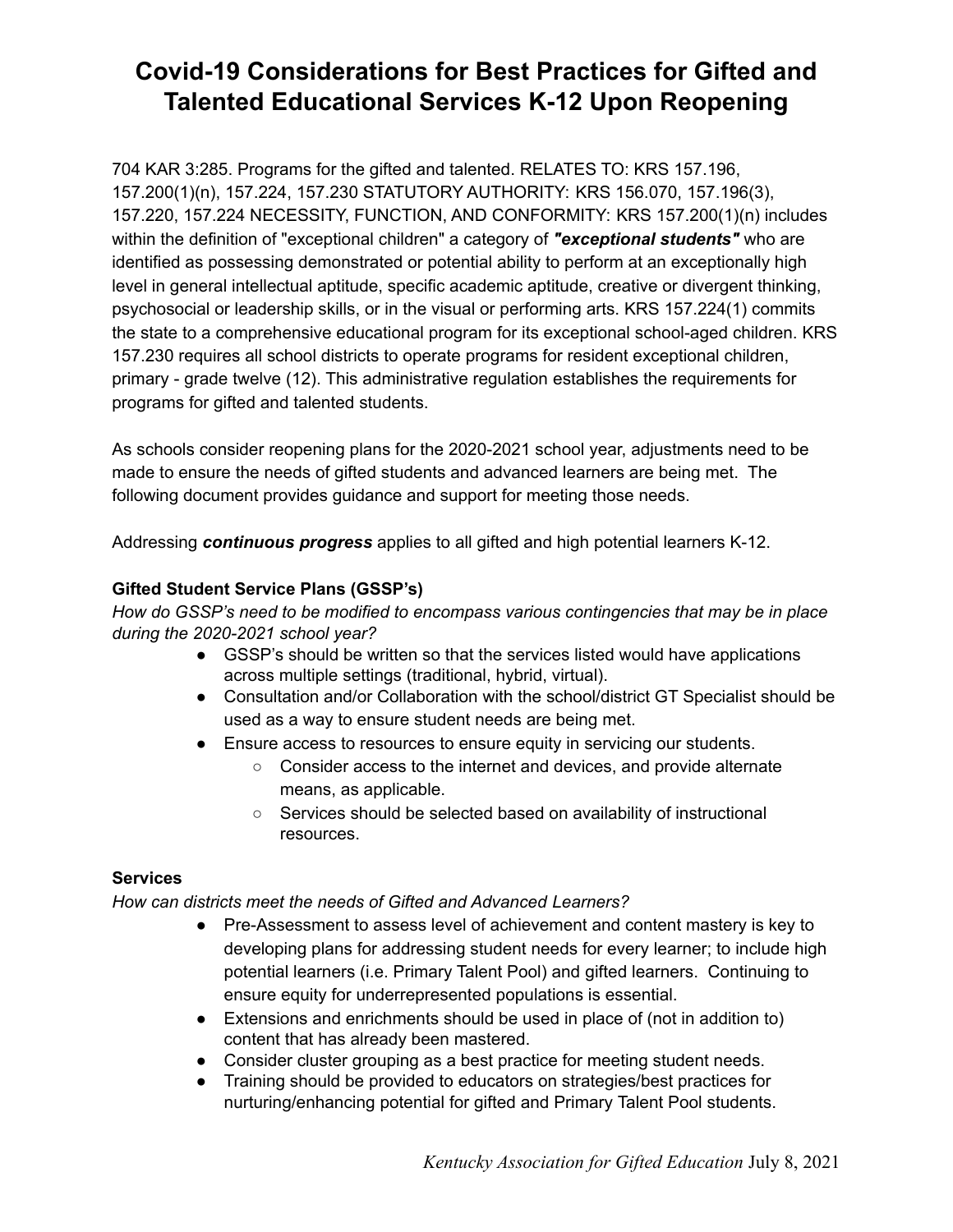# **Covid-19 Considerations for Best Practices for Gifted and Talented Educational Services K-12 Upon Reopening**

704 KAR 3:285. Programs for the gifted and talented. RELATES TO: KRS 157.196, 157.200(1)(n), 157.224, 157.230 STATUTORY AUTHORITY: KRS 156.070, 157.196(3), 157.220, 157.224 NECESSITY, FUNCTION, AND CONFORMITY: KRS 157.200(1)(n) includes within the definition of "exceptional children" a category of *"exceptional students"* who are identified as possessing demonstrated or potential ability to perform at an exceptionally high level in general intellectual aptitude, specific academic aptitude, creative or divergent thinking, psychosocial or leadership skills, or in the visual or performing arts. KRS 157.224(1) commits the state to a comprehensive educational program for its exceptional school-aged children. KRS 157.230 requires all school districts to operate programs for resident exceptional children, primary - grade twelve (12). This administrative regulation establishes the requirements for programs for gifted and talented students.

As schools consider reopening plans for the 2020-2021 school year, adjustments need to be made to ensure the needs of gifted students and advanced learners are being met. The following document provides guidance and support for meeting those needs.

Addressing *continuous progress* applies to all gifted and high potential learners K-12.

## **Gifted Student Service Plans (GSSP's)**

*How do GSSP's need to be modified to encompass various contingencies that may be in place during the 2020-2021 school year?*

- GSSP's should be written so that the services listed would have applications across multiple settings (traditional, hybrid, virtual).
- Consultation and/or Collaboration with the school/district GT Specialist should be used as a way to ensure student needs are being met.
- Ensure access to resources to ensure equity in servicing our students.
	- Consider access to the internet and devices, and provide alternate means, as applicable.
	- Services should be selected based on availability of instructional resources.

### **Services**

### *How can districts meet the needs of Gifted and Advanced Learners?*

- Pre-Assessment to assess level of achievement and content mastery is key to developing plans for addressing student needs for every learner; to include high potential learners (i.e. Primary Talent Pool) and gifted learners. Continuing to ensure equity for underrepresented populations is essential.
- Extensions and enrichments should be used in place of (not in addition to) content that has already been mastered.
- Consider cluster grouping as a best practice for meeting student needs.
- Training should be provided to educators on strategies/best practices for nurturing/enhancing potential for gifted and Primary Talent Pool students.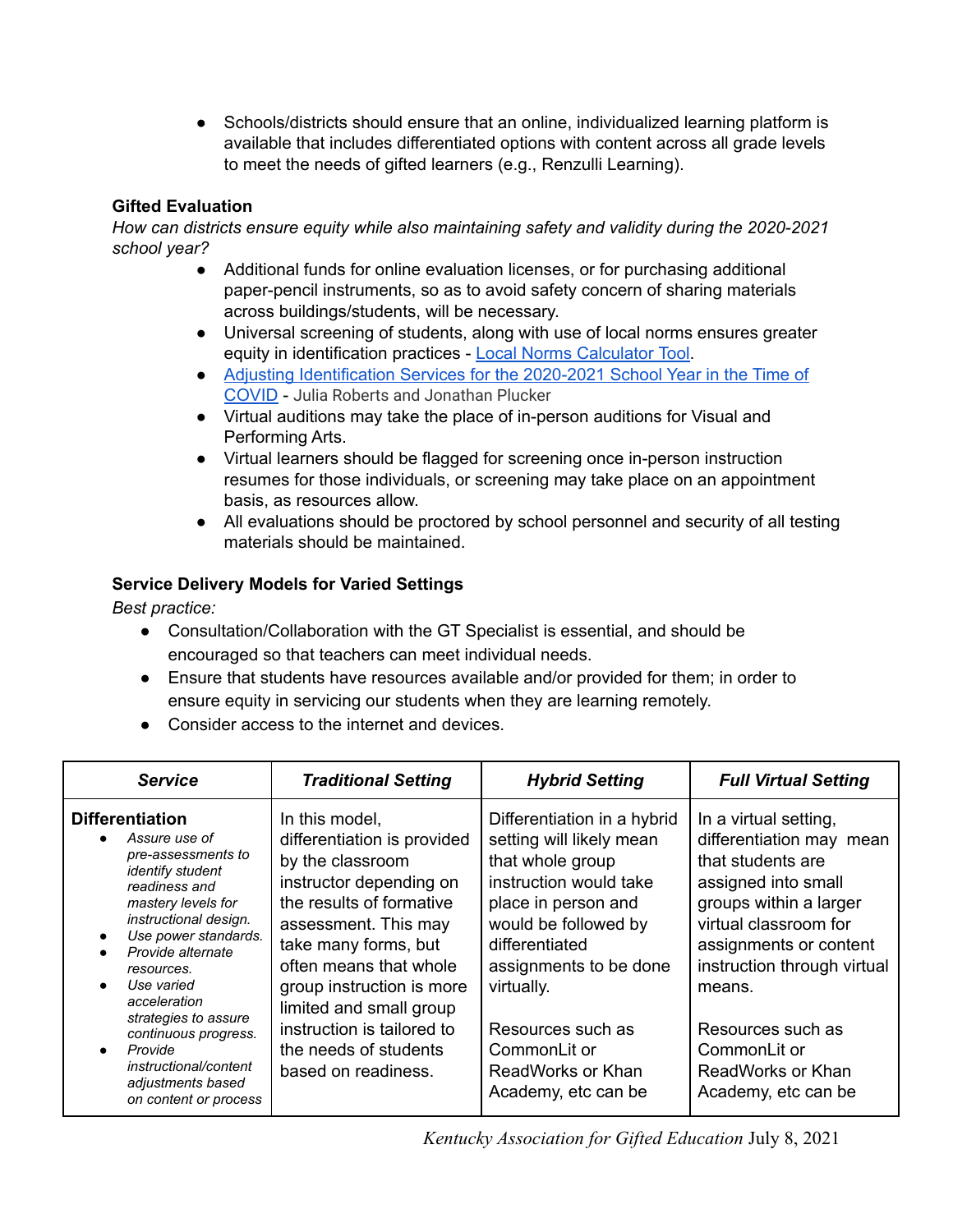• Schools/districts should ensure that an online, individualized learning platform is available that includes differentiated options with content across all grade levels to meet the needs of gifted learners (e.g., Renzulli Learning).

# **Gifted Evaluation**

*How can districts ensure equity while also maintaining safety and validity during the 2020-2021 school year?*

- Additional funds for online evaluation licenses, or for purchasing additional paper-pencil instruments, so as to avoid safety concern of sharing materials across buildings/students, will be necessary.
- Universal screening of students, along with use of local norms ensures greater equity in identification practices - Local Norms [Calculator](https://docs.google.com/spreadsheets/u/1/d/1cgvT3DVgBULOp2mclwwe2_UzvsVziQ8MgFmJJxs8EbI/copy) Tool.
- Adjusting [Identification](https://www.nagc.org/blog/adjusting-identification-services-2020-2021-school-year-time-covid) Services for the 2020-2021 School Year in the Time of [COVID](https://www.nagc.org/blog/adjusting-identification-services-2020-2021-school-year-time-covid) - Julia Roberts and Jonathan Plucker
- Virtual auditions may take the place of in-person auditions for Visual and Performing Arts.
- Virtual learners should be flagged for screening once in-person instruction resumes for those individuals, or screening may take place on an appointment basis, as resources allow.
- All evaluations should be proctored by school personnel and security of all testing materials should be maintained.

# **Service Delivery Models for Varied Settings**

*Best practice:*

- Consultation/Collaboration with the GT Specialist is essential, and should be encouraged so that teachers can meet individual needs.
- Ensure that students have resources available and/or provided for them; in order to ensure equity in servicing our students when they are learning remotely.
- Consider access to the internet and devices.

| <b>Service</b>                                                                                                                                                                                                                                                                                                                                                                      | <b>Traditional Setting</b>                                                                                                                                                                                                                                                                                                               | <b>Hybrid Setting</b>                                                                                                                                                                                                                                                                           | <b>Full Virtual Setting</b>                                                                                                                                                                                                                                                                          |
|-------------------------------------------------------------------------------------------------------------------------------------------------------------------------------------------------------------------------------------------------------------------------------------------------------------------------------------------------------------------------------------|------------------------------------------------------------------------------------------------------------------------------------------------------------------------------------------------------------------------------------------------------------------------------------------------------------------------------------------|-------------------------------------------------------------------------------------------------------------------------------------------------------------------------------------------------------------------------------------------------------------------------------------------------|------------------------------------------------------------------------------------------------------------------------------------------------------------------------------------------------------------------------------------------------------------------------------------------------------|
| <b>Differentiation</b><br>Assure use of<br>pre-assessments to<br><i>identify student</i><br>readiness and<br>mastery levels for<br>instructional design.<br>Use power standards.<br>Provide alternate<br>resources.<br>Use varied<br>acceleration<br>strategies to assure<br>continuous progress.<br>Provide<br>instructional/content<br>adjustments based<br>on content or process | In this model,<br>differentiation is provided<br>by the classroom<br>instructor depending on<br>the results of formative<br>assessment. This may<br>take many forms, but<br>often means that whole<br>group instruction is more<br>limited and small group<br>instruction is tailored to<br>the needs of students<br>based on readiness. | Differentiation in a hybrid<br>setting will likely mean<br>that whole group<br>instruction would take<br>place in person and<br>would be followed by<br>differentiated<br>assignments to be done<br>virtually.<br>Resources such as<br>CommonLit or<br>ReadWorks or Khan<br>Academy, etc can be | In a virtual setting,<br>differentiation may mean<br>that students are<br>assigned into small<br>groups within a larger<br>virtual classroom for<br>assignments or content<br>instruction through virtual<br>means.<br>Resources such as<br>CommonLit or<br>ReadWorks or Khan<br>Academy, etc can be |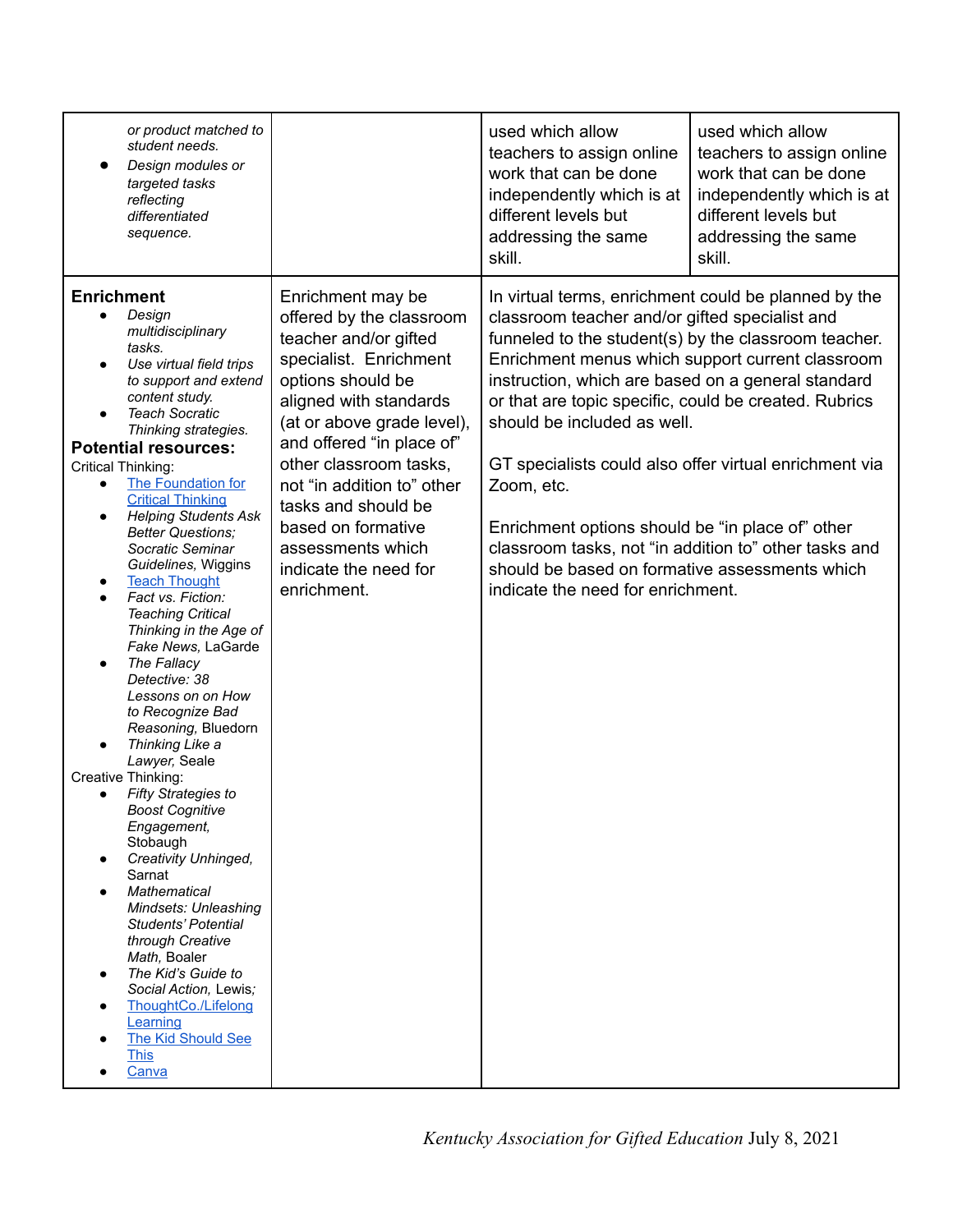| or product matched to                                                                                                                                                                                                                                                                                                                                                                                                                                                                                                                                                                                                                                                                                                                                                                                                                                                                                                                                                                                                                     |                                                                                                                                                                                                                                                                                                                                                                              | used which allow                                                                                                                                                                                                                                                                                                                                                                                                                                                                                                                                                                                                                             | used which allow          |
|-------------------------------------------------------------------------------------------------------------------------------------------------------------------------------------------------------------------------------------------------------------------------------------------------------------------------------------------------------------------------------------------------------------------------------------------------------------------------------------------------------------------------------------------------------------------------------------------------------------------------------------------------------------------------------------------------------------------------------------------------------------------------------------------------------------------------------------------------------------------------------------------------------------------------------------------------------------------------------------------------------------------------------------------|------------------------------------------------------------------------------------------------------------------------------------------------------------------------------------------------------------------------------------------------------------------------------------------------------------------------------------------------------------------------------|----------------------------------------------------------------------------------------------------------------------------------------------------------------------------------------------------------------------------------------------------------------------------------------------------------------------------------------------------------------------------------------------------------------------------------------------------------------------------------------------------------------------------------------------------------------------------------------------------------------------------------------------|---------------------------|
| student needs.                                                                                                                                                                                                                                                                                                                                                                                                                                                                                                                                                                                                                                                                                                                                                                                                                                                                                                                                                                                                                            |                                                                                                                                                                                                                                                                                                                                                                              | teachers to assign online                                                                                                                                                                                                                                                                                                                                                                                                                                                                                                                                                                                                                    | teachers to assign online |
| Design modules or                                                                                                                                                                                                                                                                                                                                                                                                                                                                                                                                                                                                                                                                                                                                                                                                                                                                                                                                                                                                                         |                                                                                                                                                                                                                                                                                                                                                                              | work that can be done                                                                                                                                                                                                                                                                                                                                                                                                                                                                                                                                                                                                                        | work that can be done     |
| targeted tasks                                                                                                                                                                                                                                                                                                                                                                                                                                                                                                                                                                                                                                                                                                                                                                                                                                                                                                                                                                                                                            |                                                                                                                                                                                                                                                                                                                                                                              | independently which is at                                                                                                                                                                                                                                                                                                                                                                                                                                                                                                                                                                                                                    | independently which is at |
| reflecting                                                                                                                                                                                                                                                                                                                                                                                                                                                                                                                                                                                                                                                                                                                                                                                                                                                                                                                                                                                                                                |                                                                                                                                                                                                                                                                                                                                                                              | different levels but                                                                                                                                                                                                                                                                                                                                                                                                                                                                                                                                                                                                                         | different levels but      |
| differentiated                                                                                                                                                                                                                                                                                                                                                                                                                                                                                                                                                                                                                                                                                                                                                                                                                                                                                                                                                                                                                            |                                                                                                                                                                                                                                                                                                                                                                              | addressing the same                                                                                                                                                                                                                                                                                                                                                                                                                                                                                                                                                                                                                          | addressing the same       |
| sequence.                                                                                                                                                                                                                                                                                                                                                                                                                                                                                                                                                                                                                                                                                                                                                                                                                                                                                                                                                                                                                                 |                                                                                                                                                                                                                                                                                                                                                                              | skill.                                                                                                                                                                                                                                                                                                                                                                                                                                                                                                                                                                                                                                       | skill.                    |
| <b>Enrichment</b><br>Design<br>multidisciplinary<br>tasks.<br>Use virtual field trips<br>to support and extend<br>content study.<br><b>Teach Socratic</b><br>Thinking strategies.<br><b>Potential resources:</b><br>Critical Thinking:<br>The Foundation for<br><b>Critical Thinking</b><br><b>Helping Students Ask</b><br><b>Better Questions;</b><br>Socratic Seminar<br>Guidelines, Wiggins<br><b>Teach Thought</b><br>Fact vs. Fiction:<br><b>Teaching Critical</b><br>Thinking in the Age of<br>Fake News, LaGarde<br>The Fallacy<br>Detective: 38<br>Lessons on on How<br>to Recognize Bad<br>Reasoning, Bluedorn<br>Thinking Like a<br>Lawyer, Seale<br>Creative Thinking:<br>Fifty Strategies to<br><b>Boost Cognitive</b><br>Engagement,<br>Stobaugh<br>Creativity Unhinged,<br>Sarnat<br><b>Mathematical</b><br>Mindsets: Unleashing<br>Students' Potential<br>through Creative<br>Math, Boaler<br>The Kid's Guide to<br>Social Action, Lewis;<br>ThoughtCo./Lifelong<br>Learning<br>The Kid Should See<br><b>This</b><br>Canva | Enrichment may be<br>offered by the classroom<br>teacher and/or gifted<br>specialist. Enrichment<br>options should be<br>aligned with standards<br>(at or above grade level),<br>and offered "in place of"<br>other classroom tasks,<br>not "in addition to" other<br>tasks and should be<br>based on formative<br>assessments which<br>indicate the need for<br>enrichment. | In virtual terms, enrichment could be planned by the<br>classroom teacher and/or gifted specialist and<br>funneled to the student(s) by the classroom teacher.<br>Enrichment menus which support current classroom<br>instruction, which are based on a general standard<br>or that are topic specific, could be created. Rubrics<br>should be included as well.<br>GT specialists could also offer virtual enrichment via<br>Zoom, etc.<br>Enrichment options should be "in place of" other<br>classroom tasks, not "in addition to" other tasks and<br>should be based on formative assessments which<br>indicate the need for enrichment. |                           |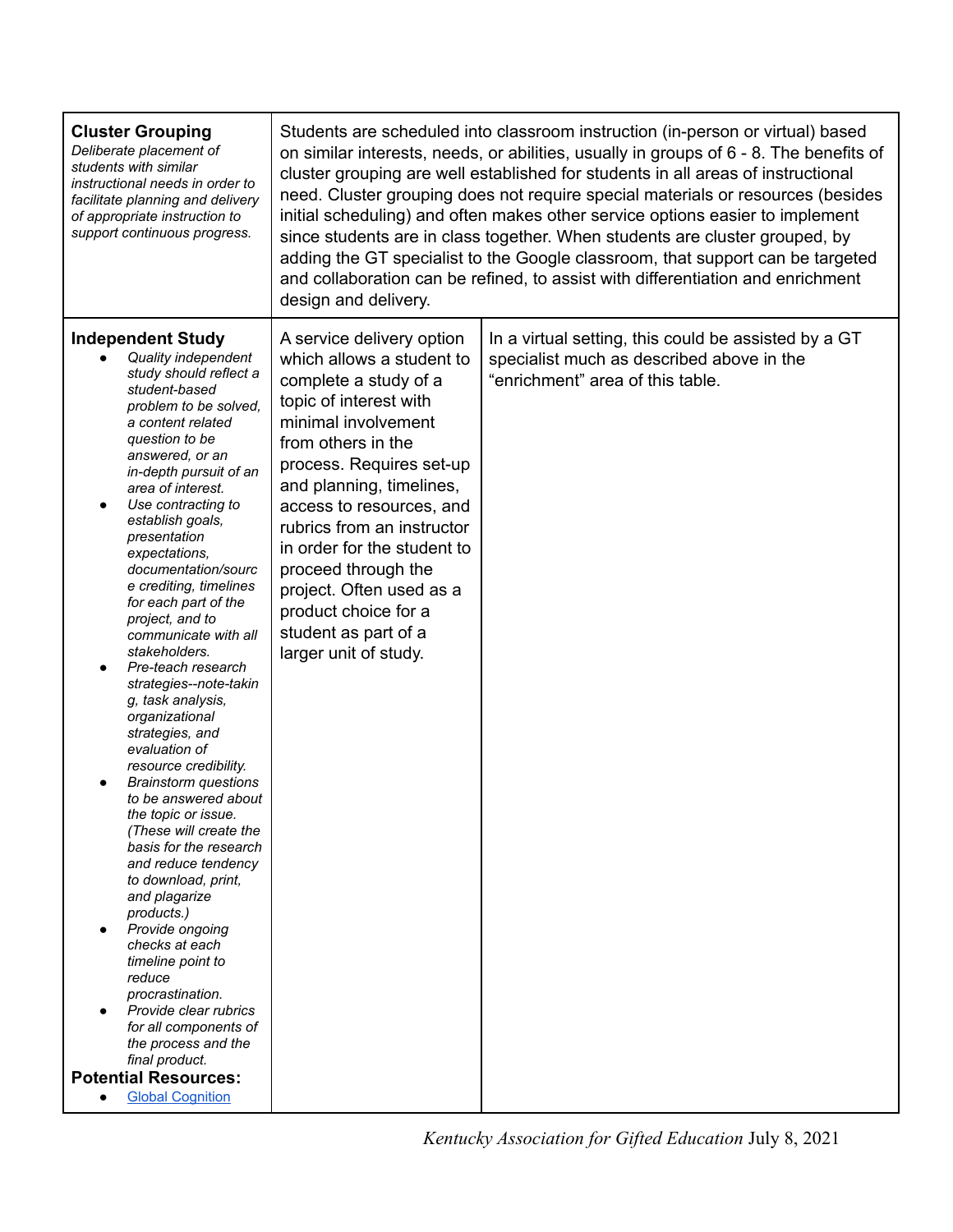| <b>Cluster Grouping</b><br>Deliberate placement of<br>students with similar<br>instructional needs in order to<br>facilitate planning and delivery<br>of appropriate instruction to<br>support continuous progress.                                                                                                                                                                                                                                                                                                                                                                                                                                                                                                                                                                                                                                                                                                                                                                                                                                                                    | Students are scheduled into classroom instruction (in-person or virtual) based<br>on similar interests, needs, or abilities, usually in groups of $6 - 8$ . The benefits of<br>cluster grouping are well established for students in all areas of instructional<br>need. Cluster grouping does not require special materials or resources (besides<br>initial scheduling) and often makes other service options easier to implement<br>since students are in class together. When students are cluster grouped, by<br>adding the GT specialist to the Google classroom, that support can be targeted<br>and collaboration can be refined, to assist with differentiation and enrichment<br>design and delivery. |                                                                                                                                       |  |
|----------------------------------------------------------------------------------------------------------------------------------------------------------------------------------------------------------------------------------------------------------------------------------------------------------------------------------------------------------------------------------------------------------------------------------------------------------------------------------------------------------------------------------------------------------------------------------------------------------------------------------------------------------------------------------------------------------------------------------------------------------------------------------------------------------------------------------------------------------------------------------------------------------------------------------------------------------------------------------------------------------------------------------------------------------------------------------------|-----------------------------------------------------------------------------------------------------------------------------------------------------------------------------------------------------------------------------------------------------------------------------------------------------------------------------------------------------------------------------------------------------------------------------------------------------------------------------------------------------------------------------------------------------------------------------------------------------------------------------------------------------------------------------------------------------------------|---------------------------------------------------------------------------------------------------------------------------------------|--|
| <b>Independent Study</b><br>Quality independent<br>study should reflect a<br>student-based<br>problem to be solved.<br>a content related<br>question to be<br>answered, or an<br>in-depth pursuit of an<br>area of interest.<br>Use contracting to<br>establish goals,<br>presentation<br>expectations,<br>documentation/sourc<br>e crediting, timelines<br>for each part of the<br>project, and to<br>communicate with all<br>stakeholders.<br>Pre-teach research<br>$\bullet$<br>strategies--note-takin<br>g, task analysis,<br>organizational<br>strategies, and<br>evaluation of<br>resource credibility.<br><b>Brainstorm</b> questions<br>to be answered about<br>the topic or issue.<br>(These will create the<br>basis for the research<br>and reduce tendency<br>to download, print,<br>and plagarize<br>products.)<br>Provide ongoing<br>$\bullet$<br>checks at each<br>timeline point to<br>reduce<br>procrastination.<br>Provide clear rubrics<br>for all components of<br>the process and the<br>final product.<br><b>Potential Resources:</b><br><b>Global Cognition</b> | A service delivery option<br>which allows a student to<br>complete a study of a<br>topic of interest with<br>minimal involvement<br>from others in the<br>process. Requires set-up<br>and planning, timelines,<br>access to resources, and<br>rubrics from an instructor<br>in order for the student to<br>proceed through the<br>project. Often used as a<br>product choice for a<br>student as part of a<br>larger unit of study.                                                                                                                                                                                                                                                                             | In a virtual setting, this could be assisted by a GT<br>specialist much as described above in the<br>"enrichment" area of this table. |  |